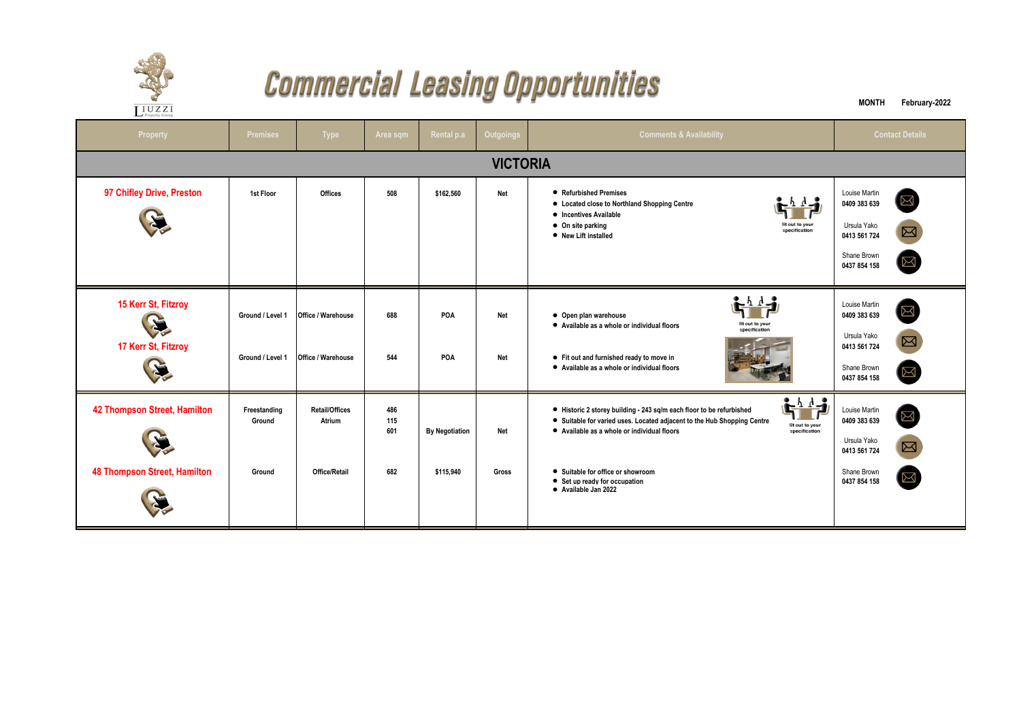

## **Commercial Leasing Opportunities**

| $\overline{\coprod_{\text{Property Group}}}% \overline{\coprod_{\text{Property Group}}%$ | <b>Sec</b><br>$\frac{1}{2}$          |                                                  |                          |                                    |                          |                                                                                                                                                                                                                                                                                                                                                   |                                                                                             |                                           |  |  |  |  |  |
|------------------------------------------------------------------------------------------|--------------------------------------|--------------------------------------------------|--------------------------|------------------------------------|--------------------------|---------------------------------------------------------------------------------------------------------------------------------------------------------------------------------------------------------------------------------------------------------------------------------------------------------------------------------------------------|---------------------------------------------------------------------------------------------|-------------------------------------------|--|--|--|--|--|
| <b>Property</b>                                                                          | <b>Premises</b>                      | <b>Type</b>                                      | Area sqm                 | Rental p.a                         | <b>Outgoings</b>         | <b>Comments &amp; Availability</b>                                                                                                                                                                                                                                                                                                                | <b>Contact Details</b>                                                                      |                                           |  |  |  |  |  |
| <b>VICTORIA</b>                                                                          |                                      |                                                  |                          |                                    |                          |                                                                                                                                                                                                                                                                                                                                                   |                                                                                             |                                           |  |  |  |  |  |
| 97 Chifley Drive, Preston                                                                | 1st Floor                            | Offices                                          | 508                      | \$162,560                          | <b>Net</b>               | • Refurbished Premises<br>• Located close to Northland Shopping Centre<br>• Incentives Available<br>• On site parking<br>fit out to your<br>specification<br>• New Lift installed                                                                                                                                                                 | Louise Martin<br>0409 383 639<br>Ursula Yako<br>0413 561 724<br>Shane Brown<br>0437 854 158 | $\Xi$<br>$\boxtimes$<br>$\boxtimes$       |  |  |  |  |  |
| 15 Kerr St, Fitzroy<br>X<br>17 Kerr St, Fitzroy                                          | Ground / Level 1<br>Ground / Level 1 | <b>Office / Warehouse</b><br>Office / Warehouse  | 688<br>544               | <b>POA</b><br>POA                  | <b>Net</b><br><b>Net</b> | • Open plan warehouse<br>fit out to your<br>• Available as a whole or individual floors<br>specification<br>• Fit out and furnished ready to move in<br>• Available as a whole or individual floors                                                                                                                                               | Louise Martin<br>0409 383 639<br>Ursula Yako<br>0413 561 724<br>Shane Brown<br>0437 854 158 | $\boxtimes$<br>$\boxtimes$<br>$\boxtimes$ |  |  |  |  |  |
| <b>42 Thompson Street, Hamilton</b><br><b>48 Thompson Street, Hamilton</b>               | Freestanding<br>Ground<br>Ground     | <b>Retail/Offices</b><br>Atrium<br>Office/Retail | 486<br>115<br>601<br>682 | <b>By Negotiation</b><br>\$115,940 | <b>Net</b><br>Gross      | $\frac{1}{2}$<br>• Historic 2 storey building - 243 sq/m each floor to be refurbished<br>• Suitable for varied uses. Located adjacent to the Hub Shopping Centre<br>fit out to your<br>• Available as a whole or individual floors<br>specification<br>• Suitable for office or showroom<br>• Set up ready for occupation<br>• Available Jan 2022 | Louise Martin<br>0409 383 639<br>Ursula Yako<br>0413 561 724<br>Shane Brown<br>0437 854 158 | $\boxtimes$<br>$\boxtimes$<br>$\boxtimes$ |  |  |  |  |  |